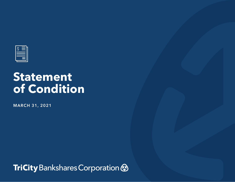

# **Statement of Condition**

**MARCH 31, 2021**

TriCity Bankshares Corporation &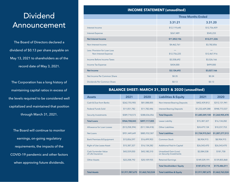## Dividend Announcement

The Board of Directors declared a dividend of \$0.13 per share payable on May 13, 2021 to shareholders as of the record date of May 3, 2021.

The Corporation has a long history of maintaining capital ratios in excess of the levels required to be considered well capitalized and maintained that position through March 31, 2021.

The Board will continue to monitor earnings, on-going regulatory requirements, the impacts of the COVID-19 pandemic and other factors when approving future dividends.

### **INCOME STATEMENT (unaudited)**

|                                                       | <b>Three Months Ended</b> |              |  |
|-------------------------------------------------------|---------------------------|--------------|--|
|                                                       | 3.31.21                   | 3.31.20      |  |
| Interest Income                                       | \$12,119,645              | \$12,756,459 |  |
| <b>Interest Expense</b>                               | \$267,489                 | \$545,233    |  |
| <b>Net Interest Income</b>                            | \$11,852,156              | \$12,211,226 |  |
| Non-Interest Income                                   | \$4,462,761               | \$3,782,856  |  |
| Less: Provision for Loan Loss<br>Non-Interest Expense | \$12,756,225              | \$12,467,916 |  |
| Income Before Income Taxes                            | \$3,558,692               | \$3,526,166  |  |
| Income Tax Expense                                    | \$434,000                 | \$499,000    |  |
| <b>Net Income</b>                                     | \$3,124,692               | \$3,027,166  |  |
| Net Income Per Common Share                           | \$0.35                    | \$0.34       |  |
| Dividends Per Common Share                            | \$0.13                    | \$0.13       |  |

#### **BALANCE SHEET: MARCH 31, 2021 & 2020 (unaudited)**

| <b>Assets</b>                             | 2021            | 2020            | <b>Liabilities &amp; Equity</b>                          | 2021            | 2020            |
|-------------------------------------------|-----------------|-----------------|----------------------------------------------------------|-----------------|-----------------|
| Cash & Due from Banks                     | \$262,755,905   | \$81,088,005    | <b>Non-Interest Bearing Deposits</b>                     | \$452,439,812   | \$312,131,941   |
| <b>Federal Funds Sold</b>                 | \$11,051,782    | \$11,782,446    | <b>Interest Bearing Deposits</b>                         | \$1,232,609,288 | \$948,773,537   |
| <b>Security Investments</b>               | \$589,718,573   | \$388,036,056   | <b>Total Deposits</b>                                    | \$1,685,049,100 | \$1,260,905,478 |
| <b>Total Loans</b>                        | \$964,708,043   | \$897,117,005   | Lease Liability                                          | \$15,387,327    | \$16,134,282    |
| Allowance for Loan Losses                 | (S13, 258, 394) | ( \$11,184,418) | <b>Other Liabilities</b>                                 | \$24,479,134    | \$10,237,753    |
| Net Loans                                 | \$951,449,649   | \$885,932,587   | <b>Total Liabilities</b>                                 | \$1,724,915,561 | \$1,287,277,513 |
| <b>Bank Premises &amp; Equipment</b>      | \$15,856,597    | \$16,499,903    | Common Stock                                             | \$8,904,915     | \$8,904,915     |
| Right of Use Lease Asset                  | \$15,387,327    | \$16,134,282    | <b>Additional Paid-In Capital</b>                        | \$26,543,470    | \$26,543,470    |
| Cash Surrender Value<br>of Life Insurance | \$43,559,050    | \$43,180,310    | <b>Unrealized Gain (Loss)</b><br>on Security Investments | \$2,084,538     | \$181.758       |
| <b>Other Assets</b>                       | \$22,208,792    | \$20,109,935    | <b>Retained Earnings</b>                                 | \$149,539,191   | \$139,855,868   |
|                                           |                 |                 | <b>Total Stockholders' Equity</b>                        | \$187,072,114   | \$175,486,011   |
| <b>Total Assets</b>                       | \$1,911,987,675 | \$1,462,763,524 | <b>Total Liabilities &amp; Equity</b>                    | \$1,911,987,675 | \$1,462,763,524 |